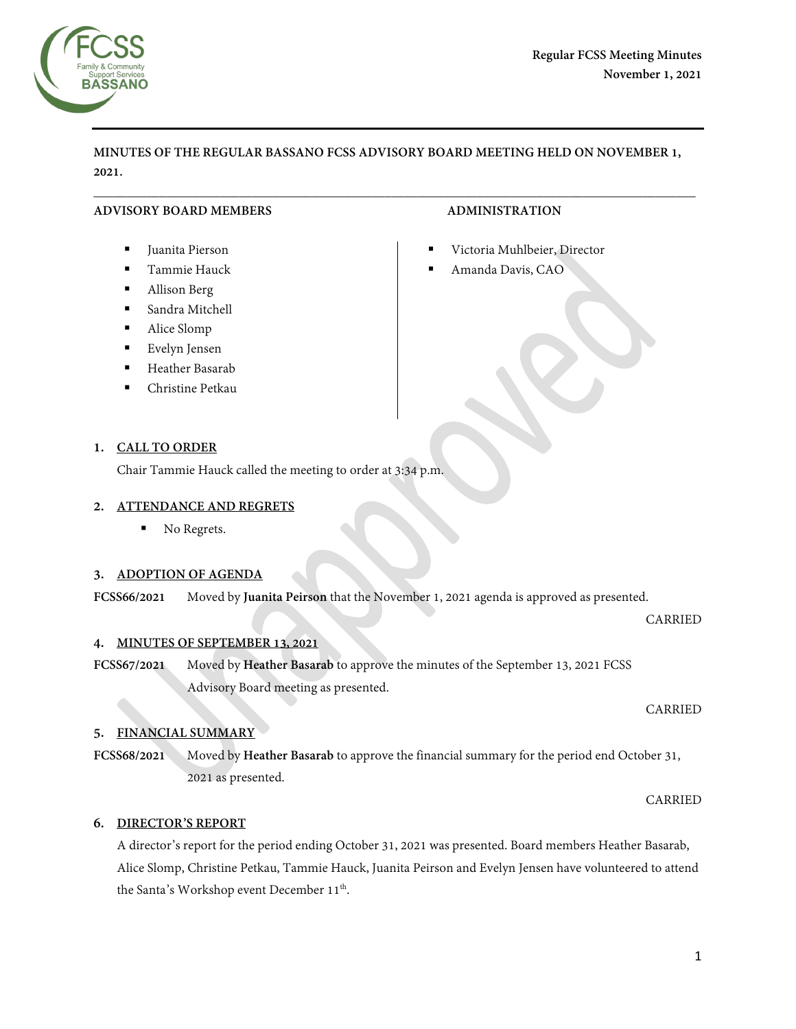

## **MINUTES OF THE REGULAR BASSANO FCSS ADVISORY BOARD MEETING HELD ON NOVEMBER 1, 2021.**

 $\overline{\phantom{a}}$  , and the contribution of the contribution of the contribution of the contribution of the contribution of the contribution of the contribution of the contribution of the contribution of the contribution of the

## **ADVISORY BOARD MEMBERS ADMINISTRATION**

- Juanita Pierson
- Tammie Hauck
- Allison Berg
- Sandra Mitchell
- Alice Slomp
- Evelyn Jensen
- **Heather Basarab**
- Christine Petkau

## **1. CALL TO ORDER**

Chair Tammie Hauck called the meeting to order at 3:34 p.m.

#### **2. ATTENDANCE AND REGRETS**

No Regrets.

## **3. ADOPTION OF AGENDA**

**FCSS66/2021** Moved by **Juanita Peirson** that the November 1, 2021 agenda is approved as presented.

## **4. MINUTES OF SEPTEMBER 13, 2021**

**FCSS67/2021** Moved by **Heather Basarab** to approve the minutes of the September 13, 2021 FCSS Advisory Board meeting as presented.

## **5. FINANCIAL SUMMARY**

**FCSS68/2021** Moved by **Heather Basarab** to approve the financial summary for the period end October 31, 2021 as presented.

CARRIED

## **6. DIRECTOR'S REPORT**

A director's report for the period ending October 31, 2021 was presented. Board members Heather Basarab, Alice Slomp, Christine Petkau, Tammie Hauck, Juanita Peirson and Evelyn Jensen have volunteered to attend the Santa's Workshop event December 11<sup>th</sup>.

- Victoria Muhlbeier, Director
- Amanda Davis, CAO

CARRIED

CARRIED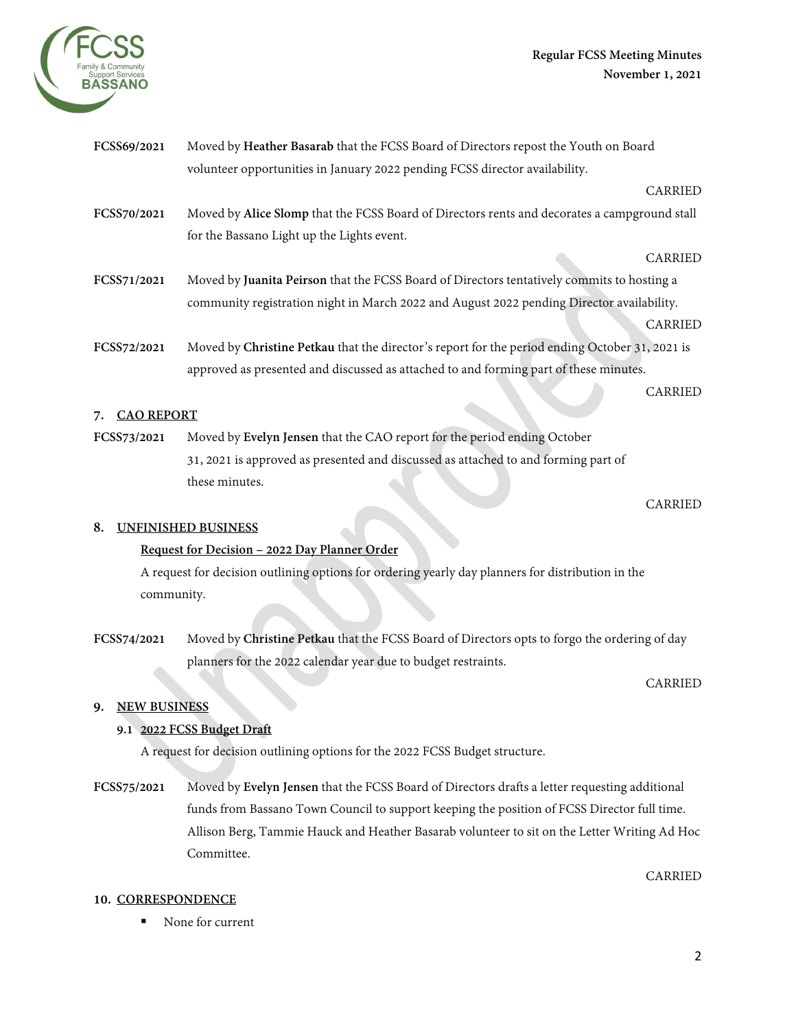

| FCSS69/2021 | Moved by Heather Basarab that the FCSS Board of Directors repost the Youth on Board            |                |
|-------------|------------------------------------------------------------------------------------------------|----------------|
|             | volunteer opportunities in January 2022 pending FCSS director availability.                    |                |
|             |                                                                                                | <b>CARRIED</b> |
| FCSS70/2021 | Moved by Alice Slomp that the FCSS Board of Directors rents and decorates a campground stall   |                |
|             | for the Bassano Light up the Lights event.                                                     |                |
|             |                                                                                                | <b>CARRIED</b> |
| FCSS71/2021 | Moved by Juanita Peirson that the FCSS Board of Directors tentatively commits to hosting a     |                |
|             | community registration night in March 2022 and August 2022 pending Director availability.      |                |
|             |                                                                                                | <b>CARRIED</b> |
| FCSS72/2021 | Moved by Christine Petkau that the director's report for the period ending October 31, 2021 is |                |
|             | approved as presented and discussed as attached to and forming part of these minutes.          |                |
|             |                                                                                                | <b>CARRIED</b> |

# **7. CAO REPORT**

**FCSS73/2021** Moved by **Evelyn Jensen** that the CAO report for the period ending October 31, 2021 is approved as presented and discussed as attached to and forming part of these minutes.

#### CARRIED

## **8. UNFINISHED BUSINESS**

## **Request for Decision – 2022 Day Planner Order**

A request for decision outlining options for ordering yearly day planners for distribution in the community.

**FCSS74/2021** Moved by **Christine Petkau** that the FCSS Board of Directors opts to forgo the ordering of day planners for the 2022 calendar year due to budget restraints.

CARRIED

# **9. NEW BUSINESS**

## **9.1 2022 FCSS Budget Draft**

A request for decision outlining options for the 2022 FCSS Budget structure.

**FCSS75/2021** Moved by **Evelyn Jensen** that the FCSS Board of Directors drafts a letter requesting additional funds from Bassano Town Council to support keeping the position of FCSS Director full time. Allison Berg, Tammie Hauck and Heather Basarab volunteer to sit on the Letter Writing Ad Hoc Committee.

## CARRIED

## **10. CORRESPONDENCE**

■ None for current